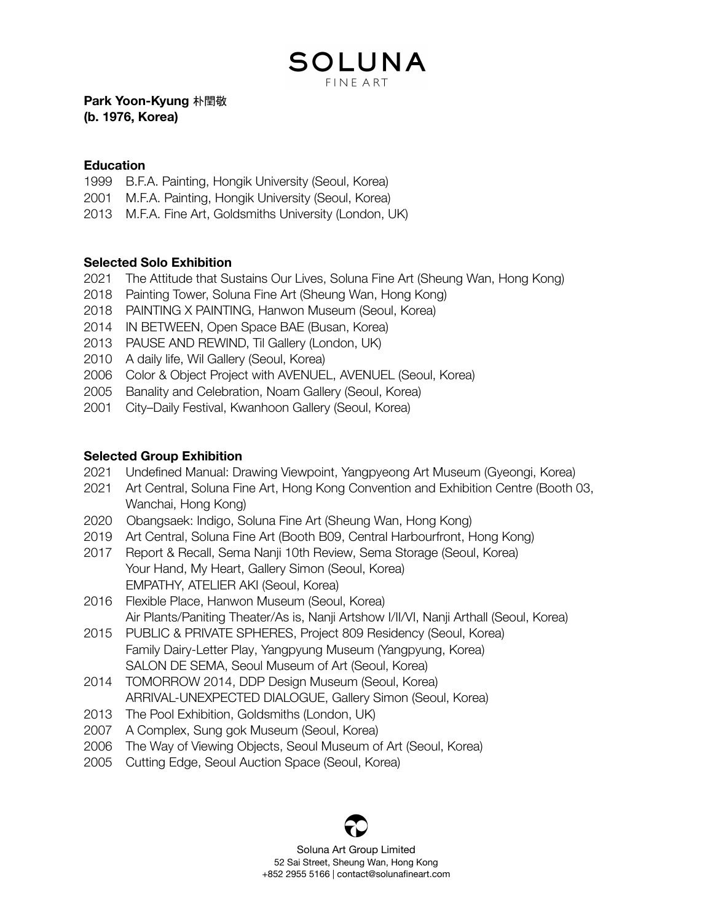SOLUNA **FINE ART** 

**Park Yoon-Kyung** 朴閏敬 **(b. 1976, Korea)**

#### **Education**

- B.F.A. Painting, Hongik University (Seoul, Korea)
- M.F.A. Painting, Hongik University (Seoul, Korea)
- M.F.A. Fine Art, Goldsmiths University (London, UK)

## **Selected Solo Exhibition**

- The Attitude that Sustains Our Lives, Soluna Fine Art (Sheung Wan, Hong Kong)
- Painting Tower, Soluna Fine Art (Sheung Wan, Hong Kong)
- PAINTING X PAINTING, Hanwon Museum (Seoul, Korea)
- IN BETWEEN, Open Space BAE (Busan, Korea)
- PAUSE AND REWIND, Til Gallery (London, UK)
- A daily life, Wil Gallery (Seoul, Korea)
- Color & Object Project with AVENUEL, AVENUEL (Seoul, Korea)
- Banality and Celebration, Noam Gallery (Seoul, Korea)
- City–Daily Festival, Kwanhoon Gallery (Seoul, Korea)

### **Selected Group Exhibition**

- Undefined Manual: Drawing Viewpoint, Yangpyeong Art Museum (Gyeongi, Korea)
- Art Central, Soluna Fine Art, Hong Kong Convention and Exhibition Centre (Booth 03, Wanchai, Hong Kong)
- Obangsaek: Indigo, Soluna Fine Art (Sheung Wan, Hong Kong)
- Art Central, Soluna Fine Art (Booth B09, Central Harbourfront, Hong Kong)
- Report & Recall, Sema Nanji 10th Review, Sema Storage (Seoul, Korea) Your Hand, My Heart, Gallery Simon (Seoul, Korea) EMPATHY, ATELIER AKI (Seoul, Korea)
- Flexible Place, Hanwon Museum (Seoul, Korea) Air Plants/Paniting Theater/As is, Nanji Artshow I/II/VI, Nanji Arthall (Seoul, Korea)
- PUBLIC & PRIVATE SPHERES, Project 809 Residency (Seoul, Korea) Family Dairy-Letter Play, Yangpyung Museum (Yangpyung, Korea) SALON DE SEMA, Seoul Museum of Art (Seoul, Korea)
- TOMORROW 2014, DDP Design Museum (Seoul, Korea) ARRIVAL-UNEXPECTED DIALOGUE, Gallery Simon (Seoul, Korea)
- The Pool Exhibition, Goldsmiths (London, UK)
- A Complex, Sung gok Museum (Seoul, Korea)
- The Way of Viewing Objects, Seoul Museum of Art (Seoul, Korea)
- Cutting Edge, Seoul Auction Space (Seoul, Korea)

Soluna Art Group Limited Sai Street, Sheung Wan, Hong Kong +852 2955 5166 | contact@solunafineart.com